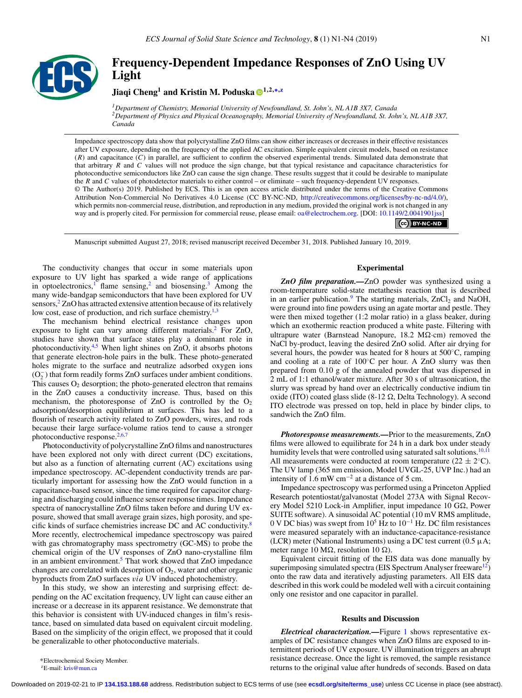

# **Frequency-Dependent Impedance Responses of ZnO Using UV Light**

**Jiaqi Cheng1 and Kristin M. Poduska 1,2,[∗](#page-0-0)[,z](#page-0-1)**

*1Department of Chemistry, Memorial University of Newfoundland, St. John's, NL A1B 3X7, Canada 2Department of Physics and Physical Oceanography, Memorial University of Newfoundland, St. John's, NL A1B 3X7, Canada*

Impedance spectroscopy data show that polycrystalline ZnO films can show either increases or decreases in their effective resistances after UV exposure, depending on the frequency of the applied AC excitation. Simple equivalent circuit models, based on resistance (*R*) and capacitance (*C*) in parallel, are sufficient to confirm the observed experimental trends. Simulated data demonstrate that that arbitrary *R* and *C* values will not produce the sign change, but that typical resistance and capacitance characteristics for photoconductive semiconductors like ZnO can cause the sign change. These results suggest that it could be desirable to manipulate the *R* and *C* values of photodetector materials to either control – or eliminate – such frequency-dependent UV responses. © The Author(s) 2019. Published by ECS. This is an open access article distributed under the terms of the Creative Commons Attribution Non-Commercial No Derivatives 4.0 License (CC BY-NC-ND, [http://creativecommons.org/licenses/by-nc-nd/4.0/\)](http://creativecommons.org/licenses/by-nc-nd/4.0/), which permits non-commercial reuse, distribution, and reproduction in any medium, provided the original work is not changed in any way and is properly cited. For permission for commercial reuse, please email: [oa@electrochem.org.](mailto:oa@electrochem.org) [DOI: [10.1149/2.0041901jss\]](http://dx.doi.org/10.1149/2.0041901jss)



Manuscript submitted August 27, 2018; revised manuscript received December 31, 2018. Published January 10, 2019.

The conductivity changes that occur in some materials upon exposure to UV light has sparked a wide range of applications in optoelectronics,<sup>[1](#page-3-0)</sup> flame sensing,<sup>2</sup> and biosensing.<sup>3</sup> Among the many wide-bandgap semiconductors that have been explored for UV sensors,<sup>2</sup> ZnO has attracted extensive attention because of its relatively low cost, ease of production, and rich surface chemistry.<sup>1[,3](#page-3-2)</sup>

The mechanism behind electrical resistance changes upon exposure to light can vary among different materials[.2](#page-3-1) For ZnO, studies have shown that surface states play a dominant role in photoconductivity[.4,](#page-3-3)[5](#page-3-4) When light shines on ZnO, it absorbs photons that generate electron-hole pairs in the bulk. These photo-generated holes migrate to the surface and neutralize adsorbed oxygen ions (O<sup>−</sup> <sup>2</sup> ) that form readily forms ZnO surfaces under ambient conditions. This causes  $O_2$  desorption; the photo-generated electron that remains in the ZnO causes a conductivity increase. Thus, based on this mechanism, the photoresponse of ZnO is controlled by the  $O<sub>2</sub>$ adsorption/desorption equilibrium at surfaces. This has led to a flourish of research activity related to ZnO powders, wires, and rods because their large surface-volume ratios tend to cause a stronger photoconductive response.<sup>[2,](#page-3-1)[6,](#page-3-5)[7](#page-3-6)</sup>

Photoconductivity of polycrystalline ZnO films and nanostructures have been explored not only with direct current (DC) excitations, but also as a function of alternating current (AC) excitations using impedance spectroscopy. AC-dependent conductivity trends are particularly important for assessing how the ZnO would function in a capacitance-based sensor, since the time required for capacitor charging and discharging could influence sensor response times. Impedance spectra of nanocrystalline ZnO films taken before and during UV exposure, showed that small average grain sizes, high porosity, and specific kinds of surface chemistries increase DC and AC conductivity.<sup>8</sup> More recently, electrochemical impedance spectroscopy was paired with gas chromatography mass spectrometry (GC-MS) to probe the chemical origin of the UV responses of ZnO nano-crystalline film in an ambient environment[.5](#page-3-4) That work showed that ZnO impedance changes are correlated with desorption of  $O_2$ , water and other organic byproducts from ZnO surfaces v*ia* UV induced photochemistry.

In this study, we show an interesting and surprising effect: depending on the AC excitation frequency, UV light can cause either an increase or a decrease in its apparent resistance. We demonstrate that this behavior is consistent with UV-induced changes in film's resistance, based on simulated data based on equivalent circuit modeling. Based on the simplicity of the origin effect, we proposed that it could be generalizable to other photoconductive materials.

# **Experimental**

*ZnO film preparation.—*ZnO powder was synthesized using a room-temperature solid-state metathesis reaction that is described in an earlier publication.<sup>9</sup> The starting materials,  $ZnCl<sub>2</sub>$  and NaOH, were ground into fine powders using an agate mortar and pestle. They were then mixed together (1:2 molar ratio) in a glass beaker, during which an exothermic reaction produced a white paste. Filtering with ultrapure water (Barnstead Nanopure,  $18.2 \text{ M}\Omega \text{ cm}$ ) removed the NaCl by-product, leaving the desired ZnO solid. After air drying for several hours, the powder was heated for 8 hours at 500℃, ramping and cooling at a rate of 100◦C per hour. A ZnO slurry was then prepared from 0.10 g of the annealed powder that was dispersed in 2 mL of 1:1 ethanol/water mixture. After 30 s of ultrasonication, the slurry was spread by hand over an electrically conductive indium tin oxide (ITO) coated glass slide  $(8-12 \Omega,$  Delta Technology). A second ITO electrode was pressed on top, held in place by binder clips, to sandwich the ZnO film.

*Photoresponse measurements.—*Prior to the measurements, ZnO films were allowed to equilibrate for 24 h in a dark box under steady humidity levels that were controlled using saturated salt solutions.<sup>10,[11](#page-3-10)</sup> All measurements were conducted at room temperature ( $22 \pm 2$ °C). The UV lamp (365 nm emission, Model UVGL-25, UVP Inc.) had an intensity of  $1.6$  mW cm<sup>-2</sup> at a distance of 5 cm.

Impedance spectroscopy was performed using a Princeton Applied Research potentiostat/galvanostat (Model 273A with Signal Recovery Model 5210 Lock-in Amplifier, input impedance 10 GΩ, Power SUITE software). A sinusoidal AC potential (10 mV RMS amplitude, 0 V DC bias) was swept from 10<sup>5</sup> Hz to 10−<sup>1</sup> Hz. DC film resistances were measured separately with an inductance-capacitance-resistance (LCR) meter (National Instruments) using a DC test current (0.5  $\mu$ A; meter range 10 M $\Omega$ , resolution 10  $\Omega$ ).

Equivalent circuit fitting of the EIS data was done manually by superimposing simulated spectra (EIS Spectrum Analyser freeware $12$ ) onto the raw data and iteratively adjusting parameters. All EIS data described in this work could be modeled well with a circuit containing only one resistor and one capacitor in parallel.

### **Results and Discussion**

*Electrical characterization.—*Figure [1](#page-1-0) shows representative examples of DC resistance changes when ZnO films are exposed to intermittent periods of UV exposure. UV illumination triggers an abrupt resistance decrease. Once the light is removed, the sample resistance returns to the original value after hundreds of seconds. Based on data

<span id="page-0-1"></span>zE-mail: [kris@mun.ca](mailto:kris@mun.ca)

<span id="page-0-0"></span><sup>∗</sup>Electrochemical Society Member.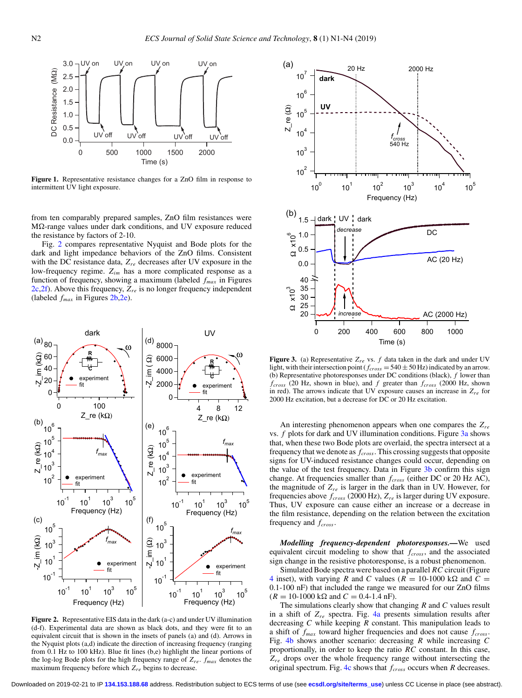<span id="page-1-0"></span>

**Figure 1.** Representative resistance changes for a ZnO film in response to intermittent UV light exposure.

from ten comparably prepared samples, ZnO film resistances were M $\Omega$ -range values under dark conditions, and UV exposure reduced the resistance by factors of 2-10.

Fig. [2](#page-1-1) compares representative Nyquist and Bode plots for the dark and light impedance behaviors of the ZnO films. Consistent with the DC resistance data,  $Z_{re}$  decreases after UV exposure in the low-frequency regime. *Zim* has a more complicated response as a function of frequency, showing a maximum (labeled  $f_{max}$  in Figures  $2c,2f$ ). Above this frequency,  $Z_{re}$  is no longer frequency independent (labeled  $f_{max}$  in Figures 2b, 2e).

<span id="page-1-1"></span>

**Figure 2.** Representative EIS data in the dark (a-c) and under UV illumination (d-f). Experimental data are shown as black dots, and they were fit to an equivalent circuit that is shown in the insets of panels (a) and (d). Arrows in the Nyquist plots (a,d) indicate the direction of increasing frequency (ranging from 0.1 Hz to 100 kHz). Blue fit lines (b,e) highlight the linear portions of the log-log Bode plots for the high frequency range of *Zre*. *fmax* denotes the maximum frequency before which *Zre* begins to decrease.

<span id="page-1-2"></span>

**Figure 3.** (a) Representative  $Z_{re}$  vs.  $f$  data taken in the dark and under UV light, with their intersection point ( $f_{cross} = 540 \pm 50$  Hz) indicated by an arrow. (b) Representative photoresponses under DC conditions (black), *f* lower than  $f_{cross}$  (20 Hz, shown in blue), and  $f$  greater than  $f_{cross}$  (2000 Hz, shown in red). The arrows indicate that UV exposure causes an increase in  $Z_{re}$  for 2000 Hz excitation, but a decrease for DC or 20 Hz excitation.

An interesting phenomenon appears when one compares the *Zre* vs. *f* plots for dark and UV illumination conditions. Figure [3a](#page-1-2) shows that, when these two Bode plots are overlaid, the spectra intersect at a frequency that we denote as  $f_{cross}$ . This crossing suggests that opposite signs for UV-induced resistance changes could occur, depending on the value of the test frequency. Data in Figure [3b](#page-1-2) confirm this sign change. At frequencies smaller than  $f_{cross}$  (either DC or 20 Hz AC), the magnitude of  $Z_{re}$  is larger in the dark than in UV. However, for frequencies above *fcr oss* (2000 Hz), *Zre* is larger during UV exposure. Thus, UV exposure can cause either an increase or a decrease in the film resistance, depending on the relation between the excitation frequency and  $f_{cross}$ .

*Modelling frequency-dependent photoresponses.—*We used equivalent circuit modeling to show that  $f_{cross}$ , and the associated sign change in the resistive photoresponse, is a robust phenomenon.

Simulated Bode spectra were based on a parallel *RC* circuit (Figure [4](#page-2-0) inset), with varying *R* and *C* values ( $R = 10{\text -}1000 \text{ k}\Omega$  and  $C = 10000 \text{ k}\Omega$ 0.1-100 nF) that included the range we measured for our ZnO films  $(R = 10{\text{-}1000 \text{ k}\Omega} \text{ and } C = 0.4{\text{-}1.4 \text{ nF}}).$ 

The simulations clearly show that changing *R* and *C* values result in a shift of  $Z_{re}$  spectra. Fig.  $4a$  presents simulation results after decreasing *C* while keeping *R* constant. This manipulation leads to a shift of  $f_{max}$  toward higher frequencies and does not cause  $f_{cross}$ . Fig. [4b](#page-2-0) shows another scenario: decreasing *R* while increasing *C* proportionally, in order to keep the ratio *RC* constant. In this case, *Zre* drops over the whole frequency range without intersecting the original spectrum. Fig.  $4c$  shows that  $f_{cross}$  occurs when  $R$  decreases.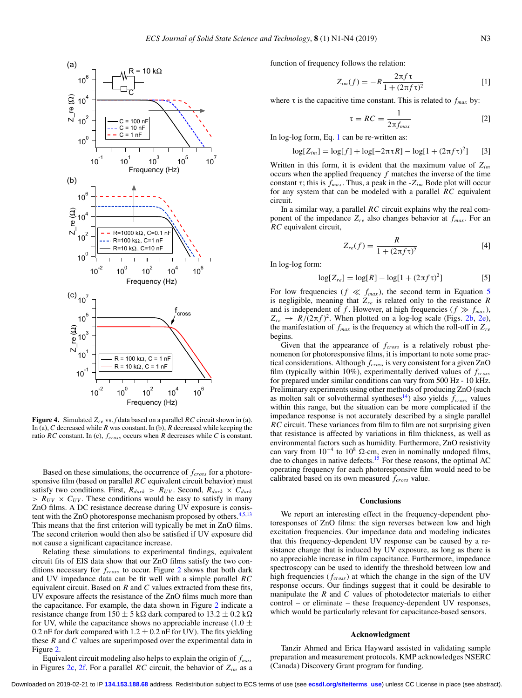<span id="page-2-1"></span>

<span id="page-2-0"></span>

**Figure 4.** Simulated *Zre* vs. *f* data based on a parallel *RC* circuit shown in (a). In (a), *C* decreased while *R* was constant. In (b), *R* decreased while keeping the ratio *RC* constant. In (c),  $f_{cross}$  occurs when *R* decreases while *C* is constant.

Based on these simulations, the occurrence of  $f_{cross}$  for a photoresponsive film (based on parallel *RC* equivalent circuit behavior) must satisfy two conditions. First,  $R_{dark} > R_{UV}$ . Second,  $R_{dark} \times C_{dark}$  $> R_{UV} \times C_{UV}$ . These conditions would be easy to satisfy in many ZnO films. A DC resistance decrease during UV exposure is consis-tent with the ZnO photoresponse mechanism proposed by others.<sup>4,[5,](#page-3-4)[13](#page-3-12)</sup> This means that the first criterion will typically be met in ZnO films. The second criterion would then also be satisfied if UV exposure did not cause a significant capacitance increase.

Relating these simulations to experimental findings, equivalent circuit fits of EIS data show that our ZnO films satisfy the two conditions necessary for  $f_{cross}$  to occur. Figure [2](#page-1-1) shows that both dark and UV impedance data can be fit well with a simple parallel *RC* equivalent circuit. Based on *R* and *C* values extracted from these fits, UV exposure affects the resistance of the ZnO films much more than the capacitance. For example, the data shown in Figure [2](#page-1-1) indicate a resistance change from  $150 \pm 5$  k $\Omega$  dark compared to  $13.2 \pm 0.2$  k $\Omega$ for UV, while the capacitance shows no appreciable increase (1.0  $\pm$ 0.2 nF for dark compared with  $1.2 \pm 0.2$  nF for UV). The fits yielding these *R* and *C* values are superimposed over the experimental data in Figure [2.](#page-1-1)

Equivalent circuit modeling also helps to explain the origin of *fmax* in Figures [2c,](#page-1-1) [2f.](#page-1-1) For a parallel *RC* circuit, the behavior of  $Z_{im}$  as a function of frequency follows the relation:

$$
Z_{im}(f) = -R \frac{2\pi f \tau}{1 + (2\pi f \tau)^2}
$$
 [1]

where  $\tau$  is the capacitive time constant. This is related to  $f_{max}$  by:

$$
\tau = RC = \frac{1}{2\pi f_{max}}\tag{2}
$$

In log-log form, Eq. [1](#page-2-1) can be re-written as:

$$
\log[Z_{im}] = \log[f] + \log[-2\pi\tau R] - \log[1 + (2\pi f \tau)^{2}] \tag{3}
$$

Written in this form, it is evident that the maximum value of *Zim* occurs when the applied frequency *f* matches the inverse of the time constant  $\tau$ ; this is  $f_{max}$ . Thus, a peak in the  $-Z_{im}$  Bode plot will occur for any system that can be modeled with a parallel *RC* equivalent circuit.

In a similar way, a parallel *RC* circuit explains why the real component of the impedance  $Z_{re}$  also changes behavior at  $f_{max}$ . For an *RC* equivalent circuit,

$$
Z_{re}(f) = \frac{R}{1 + (2\pi f \tau)^2}
$$
 [4]

In log-log form:

<span id="page-2-2"></span>
$$
\log[Z_{re}] = \log[R] - \log[1 + (2\pi f \tau)^{2}] \tag{5}
$$

For low frequencies ( $f \ll f_{max}$ ), the second term in Equation [5](#page-2-2) is negligible, meaning that  $Z_{re}$  is related only to the resistance *R* and is independent of f. However, at high frequencies ( $f \gg f_{max}$ ),  $Z_{re} \rightarrow R/(2\pi f)^2$ . When plotted on a log-log scale (Figs. [2b,](#page-1-1) [2e\)](#page-1-1), the manifestation of *fmax* is the frequency at which the roll-off in *Zre* begins.

Given that the appearance of  $f_{cross}$  is a relatively robust phenomenon for photoresponsive films, it is important to note some practical considerations. Although  $f<sub>cross</sub>$  is very consistent for a given ZnO film (typically within 10%), experimentally derived values of  $f_{cross}$ for prepared under similar conditions can vary from 500 Hz - 10 kHz. Preliminary experiments using other methods of producing ZnO (such as molten salt or solvothermal syntheses<sup>14</sup>) also yields  $f_{cross}$  values within this range, but the situation can be more complicated if the impedance response is not accurately described by a single parallel *RC* circuit. These variances from film to film are not surprising given that resistance is affected by variations in film thickness, as well as environmental factors such as humidity. Furthermore, ZnO resistivity can vary from  $10^{-4}$  to  $10^8$   $\Omega$  cm, even in nominally undoped films, due to changes in native defects.<sup>15</sup> For these reasons, the optimal AC operating frequency for each photoresponsive film would need to be calibrated based on its own measured  $f_{cross}$  value.

#### **Conclusions**

We report an interesting effect in the frequency-dependent photoresponses of ZnO films: the sign reverses between low and high excitation frequencies. Our impedance data and modeling indicates that this frequency-dependent UV response can be caused by a resistance change that is induced by UV exposure, as long as there is no appreciable increase in film capacitance. Furthermore, impedance spectroscopy can be used to identify the threshold between low and high frequencies  $(f_{cross})$  at which the change in the sign of the UV response occurs. Our findings suggest that it could be desirable to manipulate the *R* and *C* values of photodetector materials to either control – or eliminate – these frequency-dependent UV responses, which would be particularly relevant for capacitance-based sensors.

## **Acknowledgment**

Tanzir Ahmed and Erica Hayward assisted in validating sample preparation and measurement protocols. KMP acknowledges NSERC (Canada) Discovery Grant program for funding.

Downloaded on 2019-02-21 to IP **134.153.188.68** address. Redistribution subject to ECS terms of use (see **[ecsdl.org/site/terms\\_use](http://ecsdl.org/site/terms_use)**) unless CC License in place (see abstract).